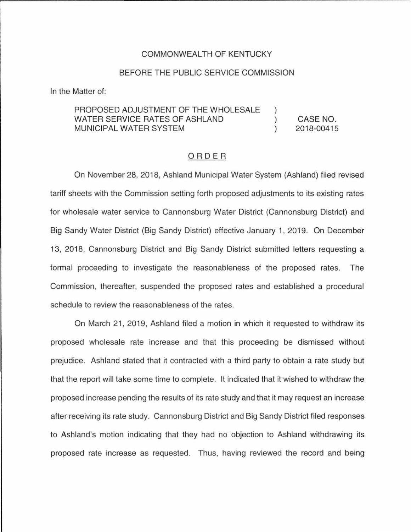## COMMONWEALTH OF KENTUCKY

## BEFORE THE PUBLIC SERVICE COMMISSION

In the Matter of:

#### PROPOSED ADJUSTMENT OF **THE** WHOLESALE WATER SERVICE RATES OF ASHLAND  $\mathcal{E}$ CASE NO. MUNICIPAL WATER SYSTEM  $\lambda$ 2018-00415

### ORDER

On November 28, 2018, Ashland Municipal Water System (Ashland) filed revised tariff sheets with the Commission setting forth proposed adjustments to its existing rates for wholesale water service to Cannonsburg Water District (Cannonsburg District) and Big Sandy Water District (Big Sandy District) effective January 1, 2019. On December 13, 2018, Cannonsburg District and Big Sandy District submitted letters requesting a formal proceeding to investigate the reasonableness of the proposed rates. The Commission, thereafter, suspended the proposed rates and established a procedural schedule to review the reasonableness of the rates.

On March 21, 2019, Ashland filed a motion in which it requested to withdraw its proposed wholesale rate increase and that this proceeding be dismissed without prejudice. Ashland stated that it contracted with a third party to obtain a rate study but that the report will take some time to complete. It indicated that it wished to withdraw the proposed increase pending the results of its rate study and that it may request an increase after receiving its rate study. Cannonsburg District and Big Sandy District filed responses to Ashland's motion indicating that they had no objection to Ashland withdrawing its proposed rate increase as requested. Thus, having reviewed the record and being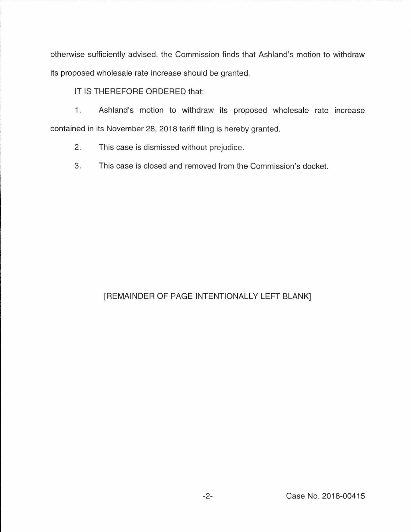otherwise sufficiently advised, the Commission finds that Ashland's motion to withdraw its proposed wholesale rate increase should be granted.

IT IS THEREFORE ORDERED that:

1. Ashland's motion to withdraw its proposed wholesale rate increase contained in its November 28, 2018 tariff filing is hereby granted.

2. This case is dismissed without prejudice.

3. This case is closed and removed from the Commission's docket.

# [REMAINDER OF PAGE INTENTIONALLY LEFT BLANK]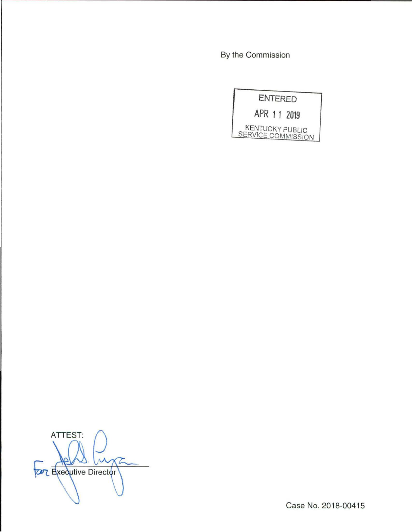By the Commission



ATTEST:  $\sqrt{2}$ **TOPT** Executive Director

Case No. 2018-00415